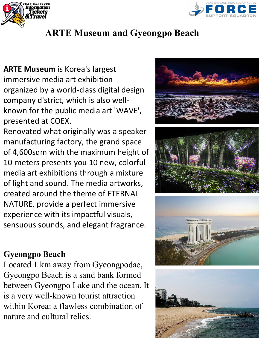



# **ARTE Museum and Gyeongpo Beach**

**ARTE Museum** is Korea's largest immersive media art exhibition organized by a world-class digital design company d'strict, which is also wellknown for the public media art 'WAVE', presented at COEX.

Renovated what originally was a speaker manufacturing factory, the grand space of 4,600sqm with the maximum height of 10-meters presents you 10 new, colorful media art exhibitions through a mixture of light and sound. The media artworks, created around the theme of ETERNAL NATURE, provide a perfect immersive experience with its impactful visuals, sensuous sounds, and elegant fragrance.

#### **Gyeongpo Beach**

Located 1 km away from Gyeongpodae, Gyeongpo Beach is a sand bank formed between Gyeongpo Lake and the ocean. It is a very well-known tourist attraction within Korea: a flawless combination of nature and cultural relics.